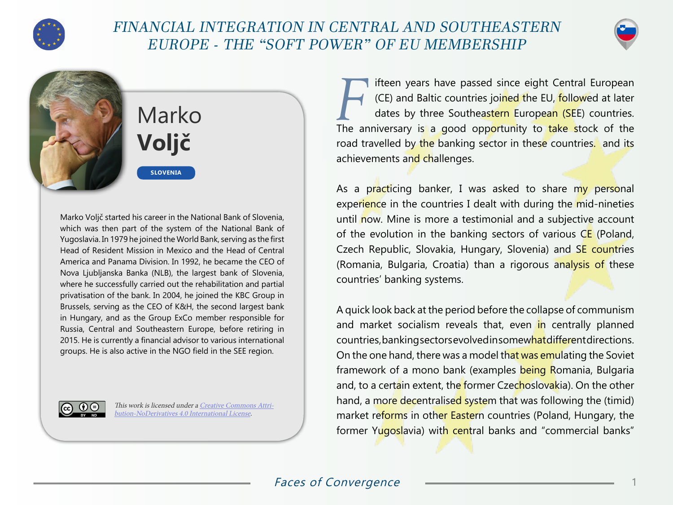

## FINANCIAL INTEGRATION IN CENTRAL AND SOUTHEASTERN EUROPE - THE "SOFT POWER" OF EU MEMBERSHIP





## Marko **Voljč**

**SLOVENIA**

Marko Voljč started his career in the National Bank of Slovenia, which was then part of the system of the National Bank of Yugoslavia. In 1979 he joined the World Bank, serving as the first Head of Resident Mission in Mexico and the Head of Central America and Panama Division. In 1992, he became the CEO of Nova Ljubljanska Banka (NLB), the largest bank of Slovenia, where he successfully carried out the rehabilitation and partial privatisation of the bank. In 2004, he joined the KBC Group in Brussels, serving as the CEO of K&H, the second largest bank in Hungary, and as the Group ExCo member responsible for Russia, Central and Southeastern Europe, before retiring in 2015. He is currently a financial advisor to various international groups. He is also active in the NGO field in the SEE region.



This work is licensed under a [Creative Commons Attri](https://creativecommons.org/licenses/by-nd/4.0/)[bution-NoDerivatives 4.0 International License](https://creativecommons.org/licenses/by-nd/4.0/).

**Fifteen years have passed since eight Central European**<br>(CE) and Baltic countries joined the EU, followed at later<br>dates by three Southeastern European (SEE) countries. (CE) and Baltic countries joined the EU, followed at later dates by three Southeastern European (SEE) countries. The anniversary is a good opportunity to take stock of the road travelled by the banking sector in these countries. and its achievements and challenges.

As a practicing banker, I was asked to share my personal experience in the countries I dealt with during the mid-nineties until now. Mine is more a testimonial and a subjective account of the evolution in the banking sectors of various  $CE$  (Poland, Czech Republic, Slovakia, Hungary, Slovenia) and SE countries (Romania, Bulgaria, Croatia) than a rigorous analysis of these countries' banking systems.

A quick look back at the period before the collapse of communism and market socialism reveals that, even in centrally planned countries, banking sectors evolved in somewhat different directions. On the one hand, there was a model that was emulating the Soviet framework of a mono bank (examples being Romania, Bulgaria and, to a certain extent, the former Czechoslovakia). On the other hand, a more decentralised system that was following the (timid) market reforms in other Eastern countries (Poland, Hungary, the former Yugoslavia) with central banks and "commercial banks"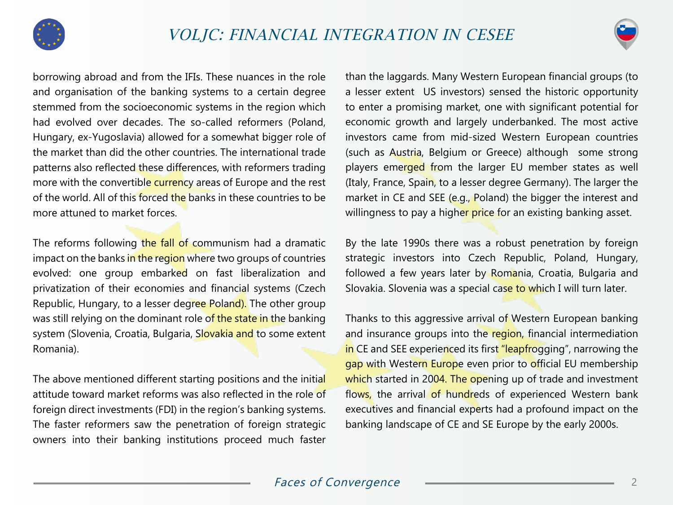



borrowing abroad and from the IFIs. These nuances in the role and organisation of the banking systems to a certain degree stemmed from the socioeconomic systems in the region which had evolved over decades. The so-called reformers (Poland, Hungary, ex-Yugoslavia) allowed for a somewhat bigger role of the market than did the other countries. The international trade patterns also reflected these differences, with reformers trading more with the convertible currency areas of Europe and the rest of the world. All of this forced the banks in these countries to be more attuned to market forces.

The reforms following the fall of communism had a dramatic impact on the banks in the region where two groups of countries evolved: one group embarked on fast liberalization and privatization of their economies and financial systems (Czech Republic, Hungary, to a lesser degree Poland). The other group was still relying on the dominant role of the state in the banking system (Slovenia, Croatia, Bulgaria, Slovakia and to some extent Romania).

The above mentioned different starting positions and the initial attitude toward market reforms was also reflected in the role of foreign direct investments (FDI) in the region's banking systems. The faster reformers saw the penetration of foreign strategic owners into their banking institutions proceed much faster than the laggards. Many Western European financial groups (to a lesser extent US investors) sensed the historic opportunity to enter a promising market, one with significant potential for economic growth and largely underbanked. The most active investors came from mid-sized Western European countries (such as Austria, Belgium or Greece) although some strong players emerged from the larger EU member states as well (Italy, France, Spain, to a lesser degree Germany). The larger the market in CE and SEE (e.g., Poland) the bigger the interest and willingness to pay a higher price for an existing banking asset.

By the late 1990s there was a robust penetration by foreign strategic investors into Czech Republic, Poland, Hungary, followed a few years later by Romania, Croatia, Bulgaria and Slovakia. Slovenia was a special case to which I will turn later.

Thanks to this aggressive arrival of Western European banking and insurance groups into the region, financial intermediation in CE and SEE experienced its first "leapfrogging", narrowing the gap with Western Europe even prior to official EU membership which started in 2004. The opening up of trade and investment flows, the arrival of hundreds of experienced Western bank executives and financial experts had a profound impact on the banking landscape of CE and SE Europe by the early 2000s.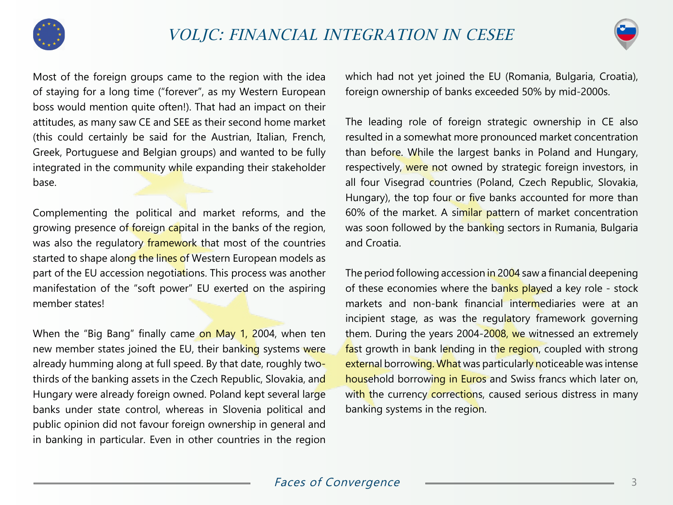



Most of the foreign groups came to the region with the idea of staying for a long time ("forever", as my Western European boss would mention quite often!). That had an impact on their attitudes, as many saw CE and SEE as their second home market (this could certainly be said for the Austrian, Italian, French, Greek, Portuguese and Belgian groups) and wanted to be fully integrated in the community while expanding their stakeholder base.

Complementing the political and market reforms, and the growing presence of foreign capital in the banks of the region, was also the regulatory framework that most of the countries started to shape along the lines of Western European models as part of the EU accession negotiations. This process was another manifestation of the "soft power" EU exerted on the aspiring member states!

When the "Big Bang" finally came on May 1, 2004, when ten new member states joined the EU, their banking systems were already humming along at full speed. By that date, roughly twothirds of the banking assets in the Czech Republic, Slovakia, and Hungary were already foreign owned. Poland kept several large banks under state control, whereas in Slovenia political and public opinion did not favour foreign ownership in general and in banking in particular. Even in other countries in the region

which had not yet joined the EU (Romania, Bulgaria, Croatia), foreign ownership of banks exceeded 50% by mid-2000s.

The leading role of foreign strategic ownership in CE also resulted in a somewhat more pronounced market concentration than before. While the largest banks in Poland and Hungary, respectively, were not owned by strategic foreign investors, in all four Visegrad countries (Poland, Czech Republic, Slovakia, Hungary), the top four or five banks accounted for more than 60% of the market. A similar pattern of market concentration was soon followed by the banking sectors in Rumania, Bulgaria and Croatia.

The period following accession in 2004 saw a financial deepening of these economies where the banks played a key role - stock markets and non-bank financial intermediaries were at an incipient stage, as was the regulatory framework governing them. During the years 2004-2008, we witnessed an extremely fast growth in bank lending in the region, coupled with strong external borrowing. What was particularly noticeable was intense household borrowing in Euros and Swiss francs which later on, with the currency corrections, caused serious distress in many banking systems in the region.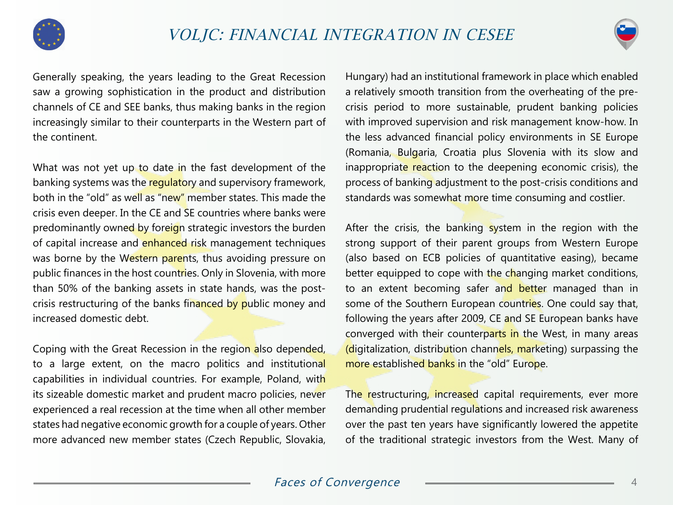



Generally speaking, the years leading to the Great Recession saw a growing sophistication in the product and distribution channels of CE and SEE banks, thus making banks in the region increasingly similar to their counterparts in the Western part of the continent.

What was not yet up to date in the fast development of the banking systems was the regulatory and supervisory framework, both in the "old" as well as "new" member states. This made the crisis even deeper. In the CE and SE countries where banks were predominantly owned by foreign strategic investors the burden of capital increase and enhanced risk management techniques was borne by the Western parents, thus avoiding pressure on public finances in the host countries. Only in Slovenia, with more than 50% of the banking assets in state hands, was the postcrisis restructuring of the banks financed by public money and increased domestic debt.

Coping with the Great Recession in the region also depended, to a large extent, on the macro politics and institutional capabilities in individual countries. For example, Poland, with its sizeable domestic market and prudent macro policies, never experienced a real recession at the time when all other member states had negative economic growth for a couple of years. Other more advanced new member states (Czech Republic, Slovakia,

Hungary) had an institutional framework in place which enabled a relatively smooth transition from the overheating of the precrisis period to more sustainable, prudent banking policies with improved supervision and risk management know-how. In the less advanced financial policy environments in SE Europe (Romania, Bulgaria, Croatia plus Slovenia with its slow and inappropriate reaction to the deepening economic crisis), the process of banking adjustment to the post-crisis conditions and standards was somewhat more time consuming and costlier.

After the crisis, the banking system in the region with the strong support of their parent groups from Western Europe (also based on ECB policies of quantitative easing), became better equipped to cope with the changing market conditions, to an extent becoming safer and better managed than in some of the Southern European countries. One could say that, following the years after 2009, CE and SE European banks have converged with their counterparts in the West, in many areas (digitalization, distribution channels, marketing) surpassing the more established banks in the "old" Europe.

The restructuring, increased capital requirements, ever more demanding prudential regulations and increased risk awareness over the past ten years have significantly lowered the appetite of the traditional strategic investors from the West. Many of